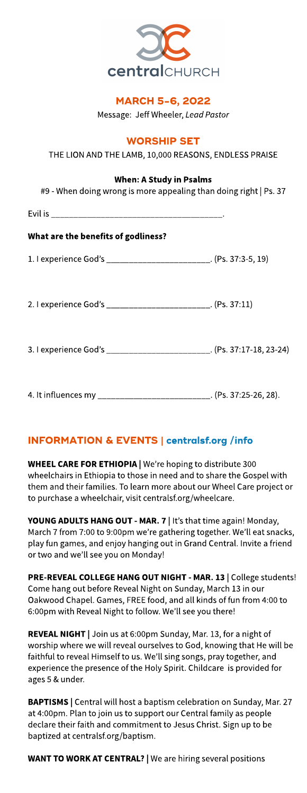

# **MARCH 5-6, 2022**

Message: Jeff Wheeler, **LeadPastor**

### **WORSHIP SET**

THE LION AND THE LAMB, 10,000 REASONS, ENDLESS PRAISE

### When: A Study in Psalms

| #9 - When doing wrong is more appealing than doing right   Ps. 37     |  |  |  |  |  |  |  |
|-----------------------------------------------------------------------|--|--|--|--|--|--|--|
|                                                                       |  |  |  |  |  |  |  |
| What are the benefits of godliness?                                   |  |  |  |  |  |  |  |
| 1. I experience God's ________________________. (Ps. 37:3-5, 19)      |  |  |  |  |  |  |  |
|                                                                       |  |  |  |  |  |  |  |
| 2. I experience God's ________________________. (Ps. 37:11)           |  |  |  |  |  |  |  |
|                                                                       |  |  |  |  |  |  |  |
| 3. I experience God's ________________________. (Ps. 37:17-18, 23-24) |  |  |  |  |  |  |  |
|                                                                       |  |  |  |  |  |  |  |
| 4. It influences my ___________________________. (Ps. 37:25-26, 28).  |  |  |  |  |  |  |  |

### INFORMATION& EVENTS| **[centralsf.org/info](http://centralsf.org/info)**

WHEEL CARE FOR ETHIOPIA | We're hoping to distribute 300 wheelchairs in Ethiopia to those in need and to share the Gospel with them and their families. To learn more about our Wheel Care project or to purchase a wheelchair, visit centralsf.org/wheelcare.

YOUNG ADULTS HANG OUT - MAR. 7 | It's that time again! Monday, March 7 from 7:00 to 9:00pm we're gathering together. We'll eat snacks, play fun games, and enjoy hanging out in Grand Central. Invite a friend or two and we?ll seeyou on Monday!

PRE-REVEAL COLLEGE HANG OUT NIGHT - MAR. 13 | College students! Come hang out before Reveal Night on Sunday, March 13 in our Oakwood Chapel. Games, FREE food, and all kinds of fun from 4:00 to 6:00pm with Reveal Night to follow. We?ll see you there!

REVEAL NIGHT | Join us at 6:00pm Sunday, Mar. 13, for a night of worship where we will reveal ourselves to God, knowing that He will be faithful to reveal Himself to us. We?ll sing songs, pray together, and experience the presence of the Holy Spirit. Childcare is provided for ages5&under.

BAPTISMS | Central will host a baptism celebration on Sunday, Mar. 27 at 4:00pm. Plan to join us to support our Central family as people declare their faith and commitment to Jesus Christ. Sign up to be baptized at centralsf.org/baptism.

WANT TO WORK AT CENTRAL? | We are hiring several positions